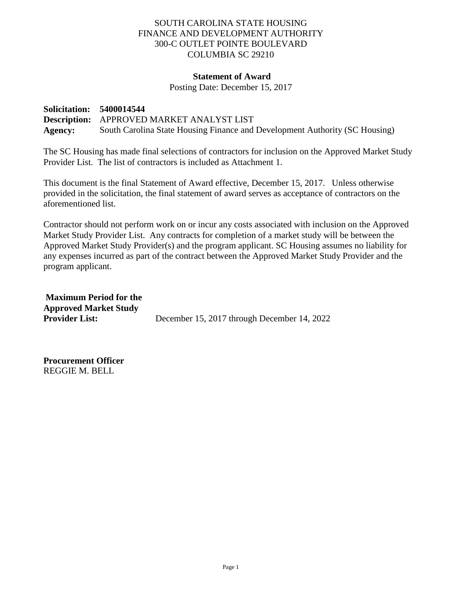## SOUTH CAROLINA STATE HOUSING FINANCE AND DEVELOPMENT AUTHORITY 300-C OUTLET POINTE BOULEVARD COLUMBIA SC 29210

## **Statement of Award**

Posting Date: December 15, 2017

**Solicitation: 5400014544 Description:** APPROVED MARKET ANALYST LIST **Agency:** South Carolina State Housing Finance and Development Authority (SC Housing)

The SC Housing has made final selections of contractors for inclusion on the Approved Market Study Provider List. The list of contractors is included as Attachment 1.

This document is the final Statement of Award effective, December 15, 2017. Unless otherwise provided in the solicitation, the final statement of award serves as acceptance of contractors on the aforementioned list.

Contractor should not perform work on or incur any costs associated with inclusion on the Approved Market Study Provider List. Any contracts for completion of a market study will be between the Approved Market Study Provider(s) and the program applicant. SC Housing assumes no liability for any expenses incurred as part of the contract between the Approved Market Study Provider and the program applicant.

**Maximum Period for the Approved Market Study Provider List:** December 15, 2017 through December 14, 2022

**Procurement Officer** REGGIE M. BELL